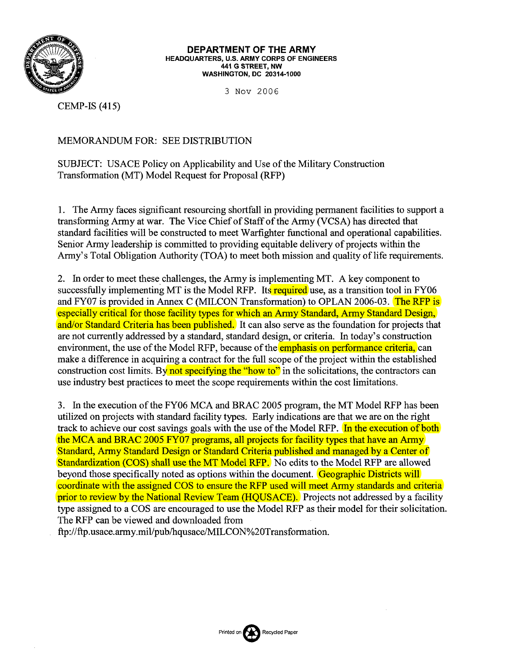

**DEPARTMENT OF THE ARMY HEADQUARTERS, U.S. ARMY CORPS OF ENGINEERS 441 G STREET, NW WASHINGTON, DC 20314-1000** 

*3* Nov 2006

CEMP-IS (415)

## MEMORANDUM FOR: SEE DISTRIBUTION

SUBJECT: USACE Policy on Applicability and Use of the Military Construction Transformation (MT) Model Request for Proposal (RFP)

1. The Army faces significant resourcing shortfall in providing permanent facilities to support a transforming Army at war. The Vice Chief of Staff of the Army (VCSA) has directed that standard facilities will be constructed to meet Warfighter functional and operational capabilities. Senior Army leadership is committed to providing equitable delivery of projects within the Army's Total Obligation Authority (TOA) to meet both mission and quality of life requirements.

2. In order to meet these challenges, the Army is implementing MT. A key component to successfully implementing MT is the Model RFP. Its required use, as a transition tool in FY06 and FY07 is provided in Annex C (MILCON Transformation) to OPLAN 2006-03. The RFP is especially critical for those facility types for which an Army Standard, Army Standard Design, and/or Standard Criteria has been published. It can also serve as the foundation for projects that are not currently addressed by a standard, standard design, or criteria. In today's construction environment, the use of the Model RFP, because of the emphasis on performance criteria, can make a difference in acquiring a contract for the full scope of the project within the established construction cost limits. By not specifying the "how to" in the solicitations, the contractors can use industry best practices to meet the scope requirements withn the cost limitations.

**3.** In the execution of the FY06 MCA and BRAC 2005 program, the MT Model RFP has been utilized on projects with standard facility types. Early indications are that we are on the right track to achieve our cost savings goals with the use of the Model RFP. In the execution of both the MCA and BRAC 2005 FY07 programs, all projects for facility types that have an Army Standard, Army Standard Design or Standard Criteria published and managed by a Center of Standardization (COS) shall use the MT Model RFP. No edits to the Model RFP are allowed beyond those specifically noted as options within the document. Geographic Districts will coordinate with the assigned COS to ensure the RFP used will meet Army standards and criteria prior to review by the National Review Team (HQUSACE). Projects not addressed by a facility type assigned to a COS are encouraged to use the Model RFP as their model for their solicitation. The RFP can be viewed and downloaded fiom

ftp://ftp.usace.army.mil/pub/hqusace/MILCON%20Transformation.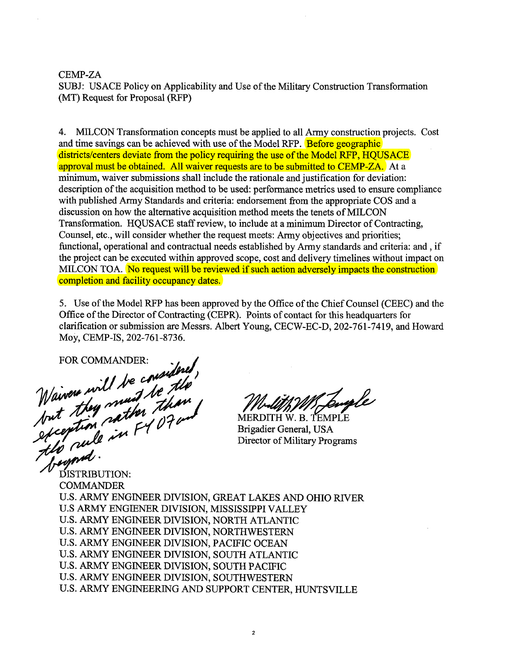## CEMP-ZA

SUBJ: USACE Policy on Applicability and Use of the Military Construction Transformation (MT) Request for Proposal (RFP)

4. MILCON Transformation concepts must be applied to all Army construction projects. Cost and time savings can be achieved with use of the Model RFP. Before geographic districts/centers deviate from the policy requiring the use of the Model RFP, HQUSACE approval must be obtained. All waiver requests are to be submitted to CEMP-ZA. At a minimum, waiver submissions shall include the rationale and justification for deviation: description of the acquisition method to be used: performance metrics used to ensure compliance with published Army Standards and criteria: endorsement from the appropriate COS and a discussion on how the alternative acquisition method meets the tenets of MILCON Transformation. HQUSACE staff review, to include at a minimum Director of Contracting, Counsel, etc., will consider whether the request meets: Arrny objectives and priorities; functional, operational and contractual needs established by Arrny standards and criteria: and , if the project can be executed within approved scope, cost and delivery timelines without impact on MILCON TOA. No request will be reviewed if such action adversely impacts the construction completion and facility occupancy dates.

5. Use of the Model RFP has been approved by the Office of the Chief Counsel (CEEC) and the Office of the Director of Contracting (CEPR). Points of contact for this headquarters for clarification or submission are Messrs. Albert Young, CECW-EC-D, 202-761-7419, and Howard MOY, CEMP-IS, 202-761-8736.

Waiver will be considered,<br>Naiver will be considered,<br>but they must be than

MERDITH W. B. TEMPLE Brigadier General, USA Director of Military Programs

DISTRIBUTION: **COMMANDER** U.S. ARMY ENGINEER DIVISION, GREAT LAKES AND OHIO RIVER U.S ARMY ENGIENER DIVISION, MISSISSIPPI VALLEY U.S. ARMY ENGINEER DIVISION, NORTH ATLANTIC U.S. ARMY ENGINEER DIVISION, NORTHWESTERN U.S. ARMY ENGINEER DIVISION, PACIFIC OCEAN U.S. ARMY ENGINEER DIVISION, SOUTH ATLANTIC U.S. ARMY ENGINEER DIVISION, SOUTH PACIFIC U.S. ARMY ENGINEER DIVISION, SOUTHWESTERN U.S. ARMY ENGINEERING AND SUPPORT CENTER, HUNTSVILLE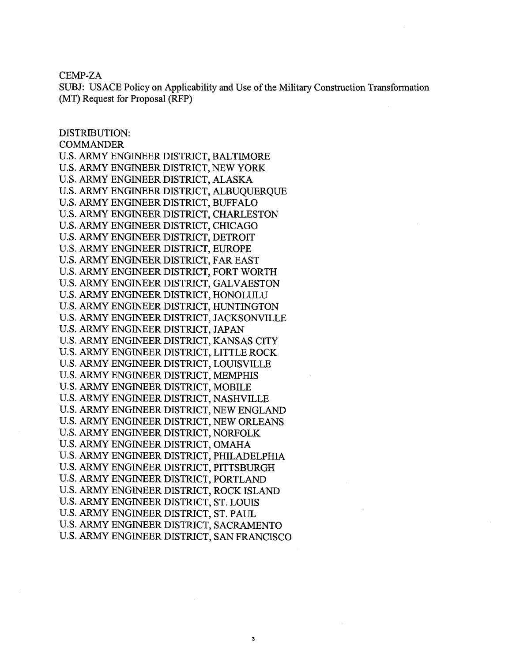CEMP-ZA

SUBJ: USACE Policy on Applicability and Use of the Military Construction Transformation (MT) Request for Proposal (RFP)

3

DISTRIBUTION: COMMANDER U.S. ARMY ENGINEER DISTRICT, BALTIMORE U.S. ARMY ENGINEER DISTRICT, NEW YORK U.S. ARMY ENGINEER DISTRICT, ALASKA U.S. ARMY ENGINEER DISTRICT, ALBUQUERQUE U.S. ARMY ENGINEER DISTRICT, BUFFALO U.S. ARMY ENGINEER DISTRICT, CHARLESTON U.S. ARMY ENGINEER DISTRICT, CHICAGO U.S. ARMY ENGINEER DISTRICT, DETROIT U.S. ARMY ENGINEER DISTRICT, EUROPE U.S. ARMY ENGINEER DISTRICT, FAR EAST U.S. ARMY ENGINEER DISTRICT, FORT WORTH U.S. ARMY ENGINEER DISTRICT, GALVAESTON U.S. ARMY ENGINEER DISTRICT, HONOLULU U.S. ARMY ENGINEER DISTRICT, HUNTINGTON U.S. ARMY ENGINEER DISTRICT, JACKSONVILLE U.S. ARMY ENGINEER DISTRICT, JAPAN U.S. ARMY ENGINEER DISTRICT, KANSAS CITY U.S. ARMY ENGINEER DISTRICT, LITTLE ROCK U.S. ARMY ENGINEER DISTRICT, LOUISVILLE U.S. ARMY ENGINEER DISTRICT, MEMPHIS U.S. ARMY ENGINEER DISTRICT, MOBILE U.S. ARMY ENGINEER DISTRICT, NASHVILLE U.S. ARMY ENGINEER DISTRICT, NEW ENGLAND U.S. ARMY ENGINEER DISTRICT, NEW ORLEANS U.S. ARMY ENGINEER DISTRICT, NORFOLK U.S. ARMY ENGINEER DISTRICT, OMAHA U.S. ARMY ENGINEER DISTRICT, PHILADELPHIA U.S. ARMY ENGINEER DISTRICT, PITTSBURGH U.S. ARMY ENGINEER DISTRICT, PORTLAND U.S. ARMY ENGINEER DISTRICT, ROCK ISLAND U.S. ARMY ENGINEER DISTRICT, ST. LOUIS U.S. ARMY ENGINEER DISTRICT, ST. PAUL U.S. ARMY ENGINEER DISTRICT, SACRAMENTO U.S. ARMY ENGINEER DISTRICT, SAN FRANCISCO